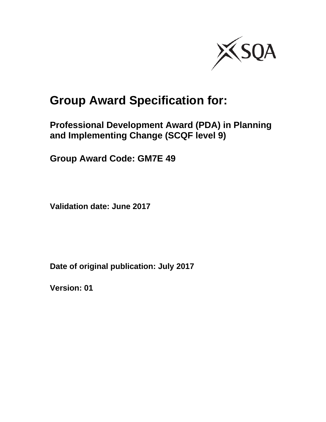

# **Group Award Specification for:**

**Professional Development Award (PDA) in Planning and Implementing Change (SCQF level 9)** 

**Group Award Code: GM7E 49** 

**Validation date: June 2017** 

**Date of original publication: July 2017** 

**Version: 01**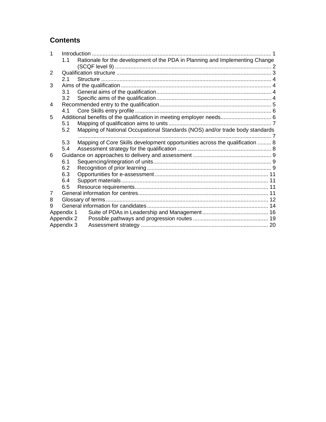## **Contents**

| 1 |            |                                                                              |  |  |  |  |  |
|---|------------|------------------------------------------------------------------------------|--|--|--|--|--|
|   | 1.1        | Rationale for the development of the PDA in Planning and Implementing Change |  |  |  |  |  |
|   |            |                                                                              |  |  |  |  |  |
| 2 |            |                                                                              |  |  |  |  |  |
|   | 21         |                                                                              |  |  |  |  |  |
| 3 |            |                                                                              |  |  |  |  |  |
|   | 3.1        |                                                                              |  |  |  |  |  |
|   | 3.2        |                                                                              |  |  |  |  |  |
| 4 |            |                                                                              |  |  |  |  |  |
|   | 4.1        |                                                                              |  |  |  |  |  |
| 5 |            | Additional benefits of the qualification in meeting employer needs 6         |  |  |  |  |  |
|   | 5.1        |                                                                              |  |  |  |  |  |
|   | 5.2        | Mapping of National Occupational Standards (NOS) and/or trade body standards |  |  |  |  |  |
|   |            |                                                                              |  |  |  |  |  |
|   | 5.3        | Mapping of Core Skills development opportunities across the qualification  8 |  |  |  |  |  |
|   | 5.4        |                                                                              |  |  |  |  |  |
| 6 |            |                                                                              |  |  |  |  |  |
|   | 6.1        |                                                                              |  |  |  |  |  |
|   | 6.2        |                                                                              |  |  |  |  |  |
|   | 6.3        |                                                                              |  |  |  |  |  |
|   | 6.4        |                                                                              |  |  |  |  |  |
|   | 6.5        |                                                                              |  |  |  |  |  |
| 7 |            |                                                                              |  |  |  |  |  |
| 8 |            |                                                                              |  |  |  |  |  |
| 9 |            |                                                                              |  |  |  |  |  |
|   | Appendix 1 |                                                                              |  |  |  |  |  |
|   | Appendix 2 |                                                                              |  |  |  |  |  |
|   | Appendix 3 |                                                                              |  |  |  |  |  |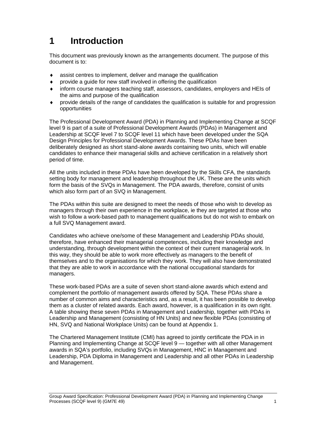# **1 Introduction**

This document was previously known as the arrangements document. The purpose of this document is to:

- assist centres to implement, deliver and manage the qualification
- provide a guide for new staff involved in offering the qualification
- inform course managers teaching staff, assessors, candidates, employers and HEIs of the aims and purpose of the qualification
- provide details of the range of candidates the qualification is suitable for and progression opportunities

The Professional Development Award (PDA) in Planning and Implementing Change at SCQF level 9 is part of a suite of Professional Development Awards (PDAs) in Management and Leadership at SCQF level 7 to SCQF level 11 which have been developed under the SQA Design Principles for Professional Development Awards. These PDAs have been deliberately designed as short stand-alone awards containing two units, which will enable candidates to enhance their managerial skills and achieve certification in a relatively short period of time.

All the units included in these PDAs have been developed by the Skills CFA, the standards setting body for management and leadership throughout the UK. These are the units which form the basis of the SVQs in Management. The PDA awards, therefore, consist of units which also form part of an SVQ in Management.

The PDAs within this suite are designed to meet the needs of those who wish to develop as managers through their own experience in the workplace, ie they are targeted at those who wish to follow a work-based path to management qualifications but do not wish to embark on a full SVQ Management award.

Candidates who achieve one/some of these Management and Leadership PDAs should, therefore, have enhanced their managerial competences, including their knowledge and understanding, through development within the context of their current managerial work. In this way, they should be able to work more effectively as managers to the benefit of themselves and to the organisations for which they work. They will also have demonstrated that they are able to work in accordance with the national occupational standards for managers.

These work-based PDAs are a suite of seven short stand-alone awards which extend and complement the portfolio of management awards offered by SQA. These PDAs share a number of common aims and characteristics and, as a result, it has been possible to develop them as a cluster of related awards. Each award, however, is a qualification in its own right. A table showing these seven PDAs in Management and Leadership, together with PDAs in Leadership and Management (consisting of HN Units) and new flexible PDAs (consisting of HN, SVQ and National Workplace Units) can be found at Appendix 1.

The Chartered Management Institute (CMI) has agreed to jointly certificate the PDA in in Planning and Implementing Change at SCQF level 9 — together with all other Management awards in SQA's portfolio, including SVQs in Management, HNC in Management and Leadership, PDA Diploma in Management and Leadership and all other PDAs in Leadership and Management.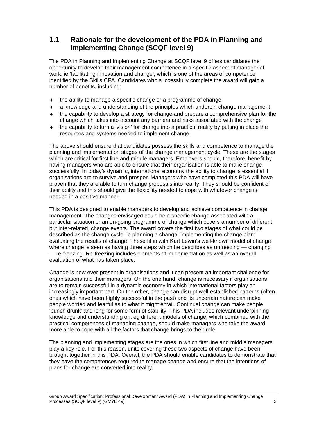## **1.1 Rationale for the development of the PDA in Planning and Implementing Change (SCQF level 9)**

The PDA in Planning and Implementing Change at SCQF level 9 offers candidates the opportunity to develop their management competence in a specific aspect of managerial work, ie 'facilitating innovation and change', which is one of the areas of competence identified by the Skills CFA. Candidates who successfully complete the award will gain a number of benefits, including:

- $\bullet$  the ability to manage a specific change or a programme of change
- $\bullet$  a knowledge and understanding of the principles which underpin change management
- $\bullet$  the capability to develop a strategy for change and prepare a comprehensive plan for the change which takes into account any barriers and risks associated with the change
- $\bullet$  the capability to turn a 'vision' for change into a practical reality by putting in place the resources and systems needed to implement change.

The above should ensure that candidates possess the skills and competence to manage the planning and implementation stages of the change management cycle. These are the stages which are critical for first line and middle managers. Employers should, therefore, benefit by having managers who are able to ensure that their organisation is able to make change successfully. In today's dynamic, international economy the ability to change is essential if organisations are to survive and prosper. Managers who have completed this PDA will have proven that they are able to turn change proposals into reality. They should be confident of their ability and this should give the flexibility needed to cope with whatever change is needed in a positive manner.

This PDA is designed to enable managers to develop and achieve competence in change management. The changes envisaged could be a specific change associated with a particular situation or an on-going programme of change which covers a number of different, but inter-related, change events. The award covers the first two stages of what could be described as the change cycle, ie planning a change; implementing the change plan; evaluating the results of change. These fit in with Kurt Lewin's well-known model of change where change is seen as having three steps which he describes as unfreezing — changing — re-freezing. Re-freezing includes elements of implementation as well as an overall evaluation of what has taken place.

Change is now ever-present in organisations and it can present an important challenge for organisations and their managers. On the one hand, change is necessary if organisations are to remain successful in a dynamic economy in which international factors play an increasingly important part. On the other, change can disrupt well-established patterns (often ones which have been highly successful in the past) and its uncertain nature can make people worried and fearful as to what it might entail. Continual change can make people 'punch drunk' and long for some form of stability. This PDA includes relevant underpinning knowledge and understanding on, eg different models of change, which combined with the practical competences of managing change, should make managers who take the award more able to cope with all the factors that change brings to their role.

The planning and implementing stages are the ones in which first line and middle managers play a key role. For this reason, units covering these two aspects of change have been brought together in this PDA. Overall, the PDA should enable candidates to demonstrate that they have the competences required to manage change and ensure that the intentions of plans for change are converted into reality.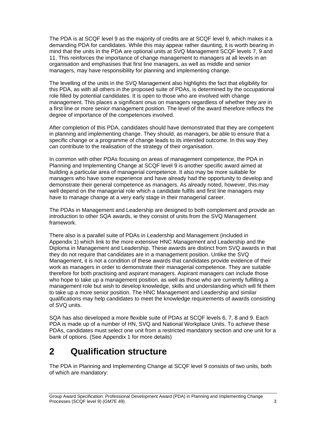The PDA is at SCQF level 9 as the majority of credits are at SCQF level 9, which makes it a demanding PDA for candidates. While this may appear rather daunting, it is worth bearing in mind that the units in the PDA are optional units at SVQ Management SCQF levels 7, 9 and 11. This reinforces the importance of change management to managers at all levels in an organisation and emphasises that first line managers, as well as middle and senior managers, may have responsibility for planning and implementing change.

The levelling of the units in the SVQ Management also highlights the fact that eligibility for this PDA, as with all others in the proposed suite of PDAs, is determined by the occupational role filled by potential candidates. It is open to those who are involved with change management. This places a significant onus on managers regardless of whether they are in a first line or more senior management position. The level of the award therefore reflects the degree of importance of the competences involved.

After completion of this PDA, candidates should have demonstrated that they are competent in planning and implementing change. They should, as managers, be able to ensure that a specific change or a programme of change leads to its intended outcome. In this way they can contribute to the realisation of the strategy of their organisation.

In common with other PDAs focusing on areas of management competence, the PDA in Planning and Implementing Change at SCQF level 9 is another specific award aimed at building a particular area of managerial competence. It also may be more suitable for managers who have some experience and have already had the opportunity to develop and demonstrate their general competence as managers. As already noted, however, this may well depend on the managerial role which a candidate fulfils and first line managers may have to manage change at a very early stage in their managerial career.

The PDAs in Management and Leadership are designed to both complement and provide an introduction to other SQA awards, ie they consist of units from the SVQ Management framework.

There also is a parallel suite of PDAs in Leadership and Management (included in Appendix 1) which link to the more extensive HNC Management and Leadership and the Diploma in Management and Leadership. These awards are distinct from SVQ awards in that they do not require that candidates are in a management position. Unlike the SVQ Management, it is not a condition of these awards that candidates provide evidence of their work as managers in order to demonstrate their managerial competence. They are suitable therefore for both practising and aspirant managers. Aspirant managers can include those who hope to take up a management position, as well as those who are currently fulfilling a management role but wish to develop knowledge, skills and understanding which will fit them to take up a more senior position. The HNC Management and Leadership and similar qualifications may help candidates to meet the knowledge requirements of awards consisting of SVQ units.

SQA has also developed a more flexible suite of PDAs at SCQF levels 6, 7, 8 and 9. Each PDA is made up of a number of HN, SVQ and National Workplace Units. To achieve these PDAs, candidates must select one unit from a restricted mandatory section and one unit for a bank of options. (See Appendix 1 for more details)

# **2 Qualification structure**

The PDA in Planning and Implementing Change at SCQF level 9 consists of two units, both of which are mandatory: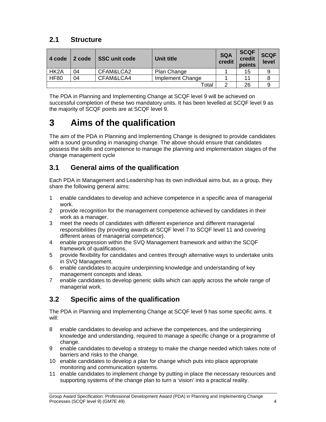## **2.1 Structure**

| 4 code            | 2 code | <b>SSC unit code</b> | Unit title       | <b>SQA</b><br>credit | <b>SCQF</b><br>credit<br>points | <b>SCQF</b><br>level |
|-------------------|--------|----------------------|------------------|----------------------|---------------------------------|----------------------|
| HK <sub>2</sub> A | 04     | CFAM&LCA2            | Plan Change      |                      | 15                              |                      |
| <b>HF80</b>       | 04     | CFAM&LCA4            | Implement Change |                      | 11                              |                      |
|                   |        |                      | Total            |                      | 26                              |                      |

The PDA in Planning and Implementing Change at SCQF level 9 will be achieved on successful completion of these two mandatory units. It has been levelled at SCQF level 9 as the majority of SCQF points are at SCQF level 9.

# **3 Aims of the qualification**

The aim of the PDA in Planning and Implementing Change is designed to provide candidates with a sound grounding in managing change. The above should ensure that candidates possess the skills and competence to manage the planning and implementation stages of the change management cycle

## **3.1 General aims of the qualification**

Each PDA in Management and Leadership has its own individual aims but, as a group, they share the following general aims:

- 1 enable candidates to develop and achieve competence in a specific area of managerial work.
- 2 provide recognition for the management competence achieved by candidates in their work as a manager.
- 3 meet the needs of candidates with different experience and different managerial responsibilities (by providing awards at SCQF level 7 to SCQF level 11 and covering different areas of managerial competence).
- 4 enable progression within the SVQ Management framework and within the SCQF framework of qualifications.
- 5 provide flexibility for candidates and centres through alternative ways to undertake units in SVQ Management.
- 6 enable candidates to acquire underpinning knowledge and understanding of key management concepts and ideas.
- 7 enable candidates to develop generic skills which can apply across the whole range of managerial work.

## **3.2 Specific aims of the qualification**

The PDA in Planning and Implementing Change at SCQF level 9 has some specific aims. It will:

- 8 enable candidates to develop and achieve the competences, and the underpinning knowledge and understanding, required to manage a specific change or a programme of change.
- 9 enable candidates to develop a strategy to make the change needed which takes note of barriers and risks to the change.
- 10 enable candidates to develop a plan for change which puts into place appropriate monitoring and communication systems.
- 11 enable candidates to implement change by putting in place the necessary resources and supporting systems of the change plan to turn a 'vision' into a practical reality.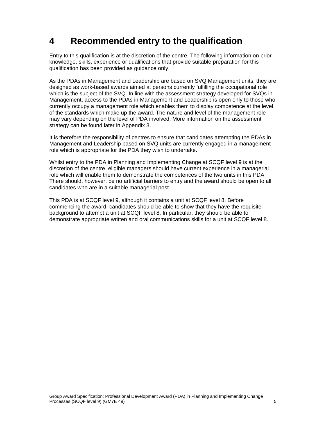# **4 Recommended entry to the qualification**

Entry to this qualification is at the discretion of the centre. The following information on prior knowledge, skills, experience or qualifications that provide suitable preparation for this qualification has been provided as guidance only.

As the PDAs in Management and Leadership are based on SVQ Management units, they are designed as work-based awards aimed at persons currently fulfilling the occupational role which is the subject of the SVQ. In line with the assessment strategy developed for SVQs in Management, access to the PDAs in Management and Leadership is open only to those who currently occupy a management role which enables them to display competence at the level of the standards which make up the award. The nature and level of the management role may vary depending on the level of PDA involved. More information on the assessment strategy can be found later in Appendix 3.

It is therefore the responsibility of centres to ensure that candidates attempting the PDAs in Management and Leadership based on SVQ units are currently engaged in a management role which is appropriate for the PDA they wish to undertake.

Whilst entry to the PDA in Planning and Implementing Change at SCQF level 9 is at the discretion of the centre, eligible managers should have current experience in a managerial role which will enable them to demonstrate the competences of the two units in this PDA. There should, however, be no artificial barriers to entry and the award should be open to all candidates who are in a suitable managerial post.

This PDA is at SCQF level 9, although it contains a unit at SCQF level 8. Before commencing the award, candidates should be able to show that they have the requisite background to attempt a unit at SCQF level 8. In particular, they should be able to demonstrate appropriate written and oral communications skills for a unit at SCQF level 8.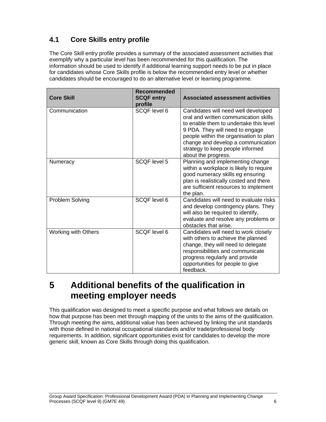## **4.1 Core Skills entry profile**

The Core Skill entry profile provides a summary of the associated assessment activities that exemplify why a particular level has been recommended for this qualification. The information should be used to identify if additional learning support needs to be put in place for candidates whose Core Skills profile is below the recommended entry level or whether candidates should be encouraged to do an alternative level or learning programme.

| <b>Core Skill</b>          | <b>Recommended</b><br><b>SCQF entry</b><br>profile | <b>Associated assessment activities</b>                                                                                                                                                                                                                                                              |
|----------------------------|----------------------------------------------------|------------------------------------------------------------------------------------------------------------------------------------------------------------------------------------------------------------------------------------------------------------------------------------------------------|
| Communication              | SCOF level 6                                       | Candidates will need well developed<br>oral and written communication skills<br>to enable them to undertake this level<br>9 PDA. They will need to engage<br>people within the organisation to plan<br>change and develop a communication<br>strategy to keep people informed<br>about the progress. |
| Numeracy                   | SCQF level 5                                       | Planning and implementing change<br>within a workplace is likely to require<br>good numeracy skills eg ensuring<br>plan is realistically costed and there<br>are sufficient resources to implement<br>the plan.                                                                                      |
| Problem Solving            | SCQF level 6                                       | Candidates will need to evaluate risks<br>and develop contingency plans. They<br>will also be required to identify,<br>evaluate and resolve any problems or<br>obstacles that arise.                                                                                                                 |
| <b>Working with Others</b> | SCOF level 6                                       | Candidates will need to work closely<br>with others to achieve the planned<br>change, they will need to delegate<br>responsibilities and communicate<br>progress regularly and provide<br>opportunities for people to give<br>feedback.                                                              |

# **5 Additional benefits of the qualification in meeting employer needs**

This qualification was designed to meet a specific purpose and what follows are details on how that purpose has been met through mapping of the units to the aims of the qualification. Through meeting the aims, additional value has been achieved by linking the unit standards with those defined in national occupational standards and/or trade/professional body requirements. In addition, significant opportunities exist for candidates to develop the more generic skill, known as Core Skills through doing this qualification.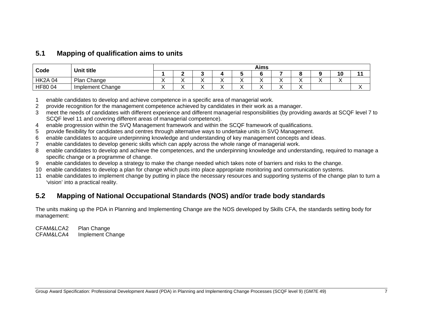#### **5.1 Mapping of qualification aims to units**

| Code          | Unit title       | Aims |  |  |  |     |  |  |  |    |  |
|---------------|------------------|------|--|--|--|-----|--|--|--|----|--|
|               |                  |      |  |  |  |     |  |  |  | 10 |  |
| <b>HK2A04</b> | Plan Change      |      |  |  |  |     |  |  |  |    |  |
| HF8004        | Implement Change |      |  |  |  | . . |  |  |  |    |  |

- 1 enable candidates to develop and achieve competence in a specific area of managerial work.
- 2 provide recognition for the management competence achieved by candidates in their work as a manager.
- 3 meet the needs of candidates with different experience and different managerial responsibilities (by providing awards at SCQF level 7 to SCQF level 11 and covering different areas of managerial competence).
- 4 enable progression within the SVQ Management framework and within the SCQF framework of qualifications.
- 5 provide flexibility for candidates and centres through alternative ways to undertake units in SVQ Management.
- 6 enable candidates to acquire underpinning knowledge and understanding of key management concepts and ideas.
- 7 enable candidates to develop generic skills which can apply across the whole range of managerial work.
- 8 enable candidates to develop and achieve the competences, and the underpinning knowledge and understanding, required to manage a specific change or a programme of change.
- 9 enable candidates to develop a strategy to make the change needed which takes note of barriers and risks to the change.
- 10 enable candidates to develop a plan for change which puts into place appropriate monitoring and communication systems.
- 11 enable candidates to implement change by putting in place the necessary resources and supporting systems of the change plan to turn a 'vision' into a practical reality.

## **5.2 Mapping of National Occupational Standards (NOS) and/or trade body standards**

The units making up the PDA in Planning and Implementing Change are the NOS developed by Skills CFA, the standards setting body for management:

CFAM&LCA2 Plan Change CFAM&LCA4 Implement Change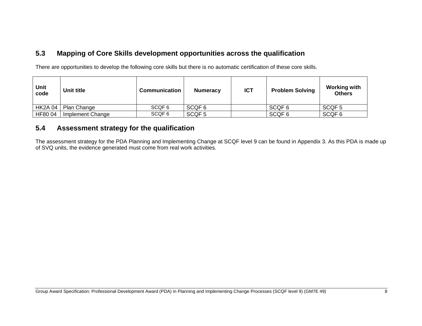## **5.3 Mapping of Core Skills development opportunities across the qualification**

There are opportunities to develop the following core skills but there is no automatic certification of these core skills.

| Unit<br>code   | Unit title       | <b>Communication</b> | <b>Numeracy</b>   | <b>ICT</b> | <b>Problem Solving</b> | <b>Working with</b><br><b>Others</b> |
|----------------|------------------|----------------------|-------------------|------------|------------------------|--------------------------------------|
| <b>HK2A 04</b> | Plan Change      | SCQF <sub>6</sub>    | SCQF 6            |            | SCQF <sub>6</sub>      | SCQF <sub>5</sub>                    |
| HF80 04        | Implement Change | SCQF 6               | SCQF <sub>5</sub> |            | SCQF <sub>6</sub>      | SCQF <sub>6</sub>                    |

#### **5.4 Assessment strategy for the qualification**

The assessment strategy for the PDA Planning and Implementing Change at SCQF level 9 can be found in Appendix 3. As this PDA is made up of SVQ units, the evidence generated must come from real work activities.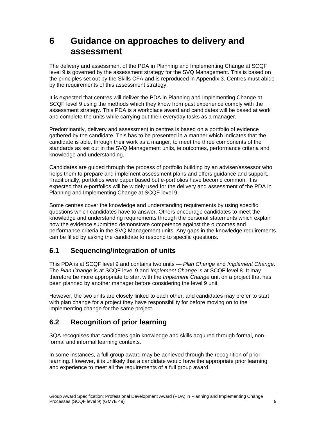# **6 Guidance on approaches to delivery and assessment**

The delivery and assessment of the PDA in Planning and Implementing Change at SCQF level 9 is governed by the assessment strategy for the SVQ Management. This is based on the principles set out by the Skills CFA and is reproduced in Appendix 3. Centres must abide by the requirements of this assessment strategy.

It is expected that centres will deliver the PDA in Planning and Implementing Change at SCQF level 9 using the methods which they know from past experience comply with the assessment strategy. This PDA is a workplace award and candidates will be based at work and complete the units while carrying out their everyday tasks as a manager.

Predominantly, delivery and assessment in centres is based on a portfolio of evidence gathered by the candidate. This has to be presented in a manner which indicates that the candidate is able, through their work as a manger, to meet the three components of the standards as set out in the SVQ Management units, ie outcomes, performance criteria and knowledge and understanding.

Candidates are guided through the process of portfolio building by an adviser/assessor who helps them to prepare and implement assessment plans and offers guidance and support. Traditionally, portfolios were paper based but e-portfolios have become common. It is expected that e-portfolios will be widely used for the delivery and assessment of the PDA in Planning and Implementing Change at SCQF level 9.

Some centres cover the knowledge and understanding requirements by using specific questions which candidates have to answer. Others encourage candidates to meet the knowledge and understanding requirements through the personal statements which explain how the evidence submitted demonstrate competence against the outcomes and performance criteria in the SVQ Management units. Any gaps in the knowledge requirements can be filled by asking the candidate to respond to specific questions.

## **6.1 Sequencing/integration of units**

This PDA is at SCQF level 9 and contains two units — *Plan Change* and *Implement Change*. The *Plan Change* is at SCQF level 9 and *Implement Change* is at SCQF level 8. It may therefore be more appropriate to start with the *Implement Change* unit on a project that has been planned by another manager before considering the level 9 unit.

However, the two units are closely linked to each other, and candidates may prefer to start with plan change for a project they have responsibility for before moving on to the implementing change for the same project.

## **6.2 Recognition of prior learning**

SQA recognises that candidates gain knowledge and skills acquired through formal, nonformal and informal learning contexts.

In some instances, a full group award may be achieved through the recognition of prior learning. However, it is unlikely that a candidate would have the appropriate prior learning and experience to meet all the requirements of a full group award.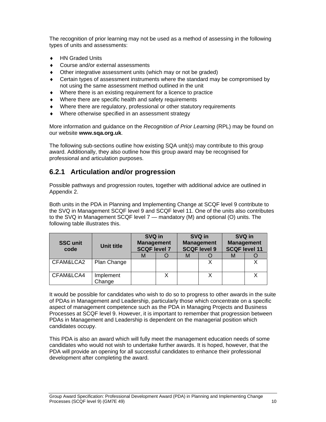The recognition of prior learning may not be used as a method of assessing in the following types of units and assessments:

- ◆ HN Graded Units
- ◆ Course and/or external assessments
- Other integrative assessment units (which may or not be graded)
- Certain types of assessment instruments where the standard may be compromised by not using the same assessment method outlined in the unit
- Where there is an existing requirement for a licence to practice
- Where there are specific health and safety requirements
- Where there are regulatory, professional or other statutory requirements
- Where otherwise specified in an assessment strategy

More information and guidance on the *Recognition of Prior Learning* (RPL) may be found on our website **www.sqa.org.uk**.

The following sub-sections outline how existing SQA unit(s) may contribute to this group award. Additionally, they also outline how this group award may be recognised for professional and articulation purposes.

## **6.2.1 Articulation and/or progression**

Possible pathways and progression routes, together with additional advice are outlined in Appendix 2.

Both units in the PDA in Planning and Implementing Change at SCQF level 9 contribute to the SVQ in Management SCQF level 9 and SCQF level 11. One of the units also contributes to the SVQ in Management SCQF level 7 — mandatory (M) and optional (O) units. The following table illustrates this.

| <b>SSC unit</b><br>code | Unit title          | SVQ in<br><b>Management</b><br><b>SCQF level 7</b> |   | SVQ in<br><b>Management</b><br><b>SCQF level 9</b> | SVQ in<br><b>Management</b><br><b>SCQF level 11</b> |  |  |
|-------------------------|---------------------|----------------------------------------------------|---|----------------------------------------------------|-----------------------------------------------------|--|--|
|                         |                     | М                                                  | M |                                                    | M                                                   |  |  |
| CFAM&LCA2               | Plan Change         |                                                    |   |                                                    |                                                     |  |  |
| CFAM&LCA4               | Implement<br>Change |                                                    |   |                                                    |                                                     |  |  |

It would be possible for candidates who wish to do so to progress to other awards in the suite of PDAs in Management and Leadership, particularly those which concentrate on a specific aspect of management competence such as the PDA in Managing Projects and Business Processes at SCQF level 9. However, it is important to remember that progression between PDAs in Management and Leadership is dependent on the managerial position which candidates occupy.

This PDA is also an award which will fully meet the management education needs of some candidates who would not wish to undertake further awards. It is hoped, however, that the PDA will provide an opening for all successful candidates to enhance their professional development after completing the award.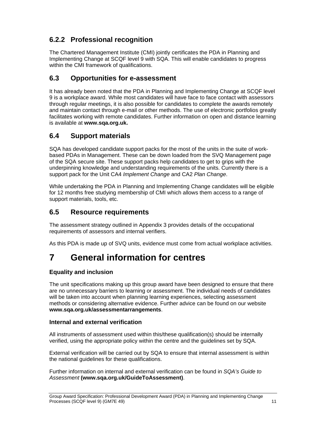## **6.2.2 Professional recognition**

The Chartered Management Institute (CMI) jointly certificates the PDA in Planning and Implementing Change at SCQF level 9 with SQA. This will enable candidates to progress within the CMI framework of qualifications.

## **6.3 Opportunities for e-assessment**

It has already been noted that the PDA in Planning and Implementing Change at SCQF level 9 is a workplace award. While most candidates will have face to face contact with assessors through regular meetings, it is also possible for candidates to complete the awards remotely and maintain contact through e-mail or other methods. The use of electronic portfolios greatly facilitates working with remote candidates. Further information on open and distance learning is available at **www.sqa.org.uk.** 

## **6.4 Support materials**

SQA has developed candidate support packs for the most of the units in the suite of workbased PDAs in Management. These can be down loaded from the SVQ Management page of the SQA secure site. These support packs help candidates to get to grips with the underpinning knowledge and understanding requirements of the units. Currently there is a support pack for the Unit CA4 *Implement Change* and CA2 *Plan Change*.

While undertaking the PDA in Planning and Implementing Change candidates will be eligible for 12 months free studying membership of CMI which allows them access to a range of support materials, tools, etc.

### **6.5 Resource requirements**

The assessment strategy outlined in Appendix 3 provides details of the occupational requirements of assessors and internal verifiers.

As this PDA is made up of SVQ units, evidence must come from actual workplace activities.

# **7 General information for centres**

#### **Equality and inclusion**

The unit specifications making up this group award have been designed to ensure that there are no unnecessary barriers to learning or assessment. The individual needs of candidates will be taken into account when planning learning experiences, selecting assessment methods or considering alternative evidence. Further advice can be found on our website **www.sqa.org.uk/assessmentarrangements**.

#### **Internal and external verification**

All instruments of assessment used within this/these qualification(s) should be internally verified, using the appropriate policy within the centre and the guidelines set by SQA.

External verification will be carried out by SQA to ensure that internal assessment is within the national guidelines for these qualifications.

Further information on internal and external verification can be found in *SQA's Guide to Assessment* **(www.sqa.org.uk/GuideToAssessment)**.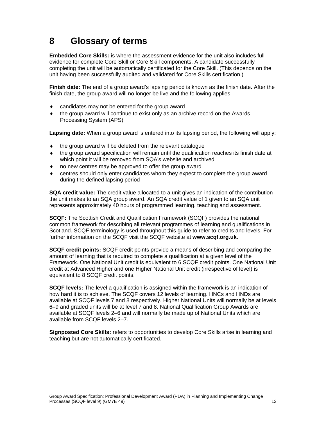# **8 Glossary of terms**

**Embedded Core Skills:** is where the assessment evidence for the unit also includes full evidence for complete Core Skill or Core Skill components. A candidate successfully completing the unit will be automatically certificated for the Core Skill. (This depends on the unit having been successfully audited and validated for Core Skills certification.)

**Finish date:** The end of a group award's lapsing period is known as the finish date. After the finish date, the group award will no longer be live and the following applies:

- candidates may not be entered for the group award
- the group award will continue to exist only as an archive record on the Awards Processing System (APS)

**Lapsing date:** When a group award is entered into its lapsing period, the following will apply:

- $\bullet$  the group award will be deleted from the relevant catalogue
- the group award specification will remain until the qualification reaches its finish date at which point it will be removed from SQA's website and archived
- no new centres may be approved to offer the group award
- centres should only enter candidates whom they expect to complete the group award during the defined lapsing period

**SQA credit value:** The credit value allocated to a unit gives an indication of the contribution the unit makes to an SQA group award. An SQA credit value of 1 given to an SQA unit represents approximately 40 hours of programmed learning, teaching and assessment.

**SCQF:** The Scottish Credit and Qualification Framework (SCQF) provides the national common framework for describing all relevant programmes of learning and qualifications in Scotland. SCQF terminology is used throughout this guide to refer to credits and levels. For further information on the SCQF visit the SCQF website at **www.scqf.org.uk**.

**SCQF credit points:** SCQF credit points provide a means of describing and comparing the amount of learning that is required to complete a qualification at a given level of the Framework. One National Unit credit is equivalent to 6 SCQF credit points. One National Unit credit at Advanced Higher and one Higher National Unit credit (irrespective of level) is equivalent to 8 SCQF credit points.

**SCQF levels:** The level a qualification is assigned within the framework is an indication of how hard it is to achieve. The SCQF covers 12 levels of learning. HNCs and HNDs are available at SCQF levels 7 and 8 respectively. Higher National Units will normally be at levels 6–9 and graded units will be at level 7 and 8. National Qualification Group Awards are available at SCQF levels 2–6 and will normally be made up of National Units which are available from SCQF levels 2–7.

**Signposted Core Skills:** refers to opportunities to develop Core Skills arise in learning and teaching but are not automatically certificated.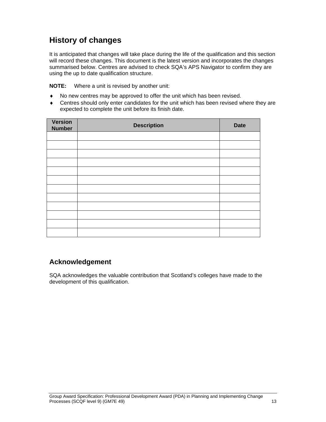# **History of changes**

It is anticipated that changes will take place during the life of the qualification and this section will record these changes. This document is the latest version and incorporates the changes summarised below. Centres are advised to check SQA's APS Navigator to confirm they are using the up to date qualification structure.

**NOTE:** Where a unit is revised by another unit:

- No new centres may be approved to offer the unit which has been revised.
- Centres should only enter candidates for the unit which has been revised where they are expected to complete the unit before its finish date.

| <b>Version</b><br><b>Number</b> | <b>Description</b> | <b>Date</b> |
|---------------------------------|--------------------|-------------|
|                                 |                    |             |
|                                 |                    |             |
|                                 |                    |             |
|                                 |                    |             |
|                                 |                    |             |
|                                 |                    |             |
|                                 |                    |             |
|                                 |                    |             |
|                                 |                    |             |
|                                 |                    |             |
|                                 |                    |             |
|                                 |                    |             |

### **Acknowledgement**

SQA acknowledges the valuable contribution that Scotland's colleges have made to the development of this qualification.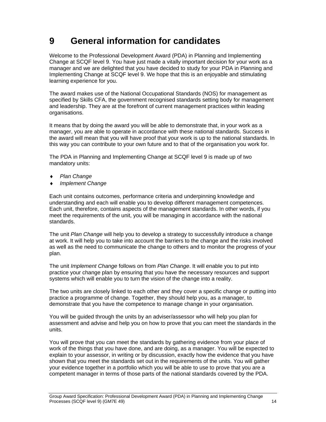# **9 General information for candidates**

Welcome to the Professional Development Award (PDA) in Planning and Implementing Change at SCQF level 9. You have just made a vitally important decision for your work as a manager and we are delighted that you have decided to study for your PDA in Planning and Implementing Change at SCQF level 9. We hope that this is an enjoyable and stimulating learning experience for you.

The award makes use of the National Occupational Standards (NOS) for management as specified by Skills CFA, the government recognised standards setting body for management and leadership. They are at the forefront of current management practices within leading organisations.

It means that by doing the award you will be able to demonstrate that, in your work as a manager, you are able to operate in accordance with these national standards. Success in the award will mean that you will have proof that your work is up to the national standards. In this way you can contribute to your own future and to that of the organisation you work for.

The PDA in Planning and Implementing Change at SCQF level 9 is made up of two mandatory units:

- *Plan Change*
- *Implement Change*

Each unit contains outcomes, performance criteria and underpinning knowledge and understanding and each will enable you to develop different management competences. Each unit, therefore, contains aspects of the management standards. In other words, if you meet the requirements of the unit, you will be managing in accordance with the national standards.

The unit *Plan Change* will help you to develop a strategy to successfully introduce a change at work. It will help you to take into account the barriers to the change and the risks involved as well as the need to communicate the change to others and to monitor the progress of your plan.

The unit *Implement Change* follows on from *Plan Change*. It will enable you to put into practice your change plan by ensuring that you have the necessary resources and support systems which will enable you to turn the vision of the change into a reality.

The two units are closely linked to each other and they cover a specific change or putting into practice a programme of change. Together, they should help you, as a manager, to demonstrate that you have the competence to manage change in your organisation.

You will be guided through the units by an adviser/assessor who will help you plan for assessment and advise and help you on how to prove that you can meet the standards in the units.

You will prove that you can meet the standards by gathering evidence from your place of work of the things that you have done, and are doing, as a manager. You will be expected to explain to your assessor, in writing or by discussion, exactly how the evidence that you have shown that you meet the standards set out in the requirements of the units. You will gather your evidence together in a portfolio which you will be able to use to prove that you are a competent manager in terms of those parts of the national standards covered by the PDA.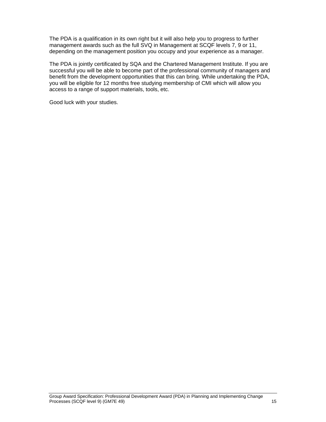The PDA is a qualification in its own right but it will also help you to progress to further management awards such as the full SVQ in Management at SCQF levels 7, 9 or 11, depending on the management position you occupy and your experience as a manager.

The PDA is jointly certificated by SQA and the Chartered Management Institute. If you are successful you will be able to become part of the professional community of managers and benefit from the development opportunities that this can bring. While undertaking the PDA, you will be eligible for 12 months free studying membership of CMI which will allow you access to a range of support materials, tools, etc.

Good luck with your studies.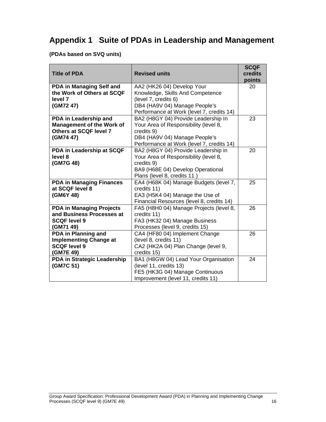# **Appendix 1 Suite of PDAs in Leadership and Management**

#### **(PDAs based on SVQ units)**

|                                  |                                           | <b>SCQF</b> |
|----------------------------------|-------------------------------------------|-------------|
| <b>Title of PDA</b>              | <b>Revised units</b>                      | credits     |
|                                  |                                           | points      |
| PDA in Managing Self and         | AA2 (HK26 04) Develop Your                | 20          |
| the Work of Others at SCQF       | Knowledge, Skills And Competence          |             |
| level 7                          | (level 7, credits 6)                      |             |
| (GM72 47)                        | DB4 (HA9V 04) Manage People's             |             |
|                                  | Performance at Work (level 7, credits 14) |             |
| PDA in Leadership and            | BA2 (H8GY 04) Provide Leadership In       | 23          |
| <b>Management of the Work of</b> | Your Area of Responsibility (level 8,     |             |
| Others at SCQF level 7           | credits 9)                                |             |
| (GM74 47)                        | DB4 (HA9V 04) Manage People's             |             |
|                                  | Performance at Work (level 7, credits 14) |             |
| PDA in Leadership at SCQF        | BA2 (H8GY 04) Provide Leadership in       | 20          |
| level 8                          | Your Area of Responsibility (level 8,     |             |
| (GM7G 48)                        | credits 9)                                |             |
|                                  | BA9 (H68E 04) Develop Operational         |             |
|                                  | Plans (level 8, credits 11)               |             |
| <b>PDA in Managing Finances</b>  | EA4 (H68K 04) Manage Budgets (level 7,    | 25          |
| at SCQF level 8                  | credits 11)                               |             |
| (GM6Y 48)                        | EA3 (H5K4 04) Manage the Use of           |             |
|                                  | Financial Resources (level 8, credits 14) |             |
| <b>PDA in Managing Projects</b>  | FA5 (H8H0 04) Manage Projects (level 8,   | 26          |
| and Business Processes at        | credits 11)                               |             |
| <b>SCQF level 9</b>              | FA3 (HK32 04) Manage Business             |             |
| (GM71 49)                        | Processes (level 9, credits 15)           |             |
| PDA in Planning and              | CA4 (HF80 04) Implement Change            | 26          |
| <b>Implementing Change at</b>    | (level 8, credits 11)                     |             |
| <b>SCQF level 9</b>              | CA2 (HK2A 04) Plan Change (level 9,       |             |
| (GM7E 49)                        | credits 15)                               |             |
| PDA in Strategic Leadership      | BA1 (H8GW 04) Lead Your Organisation      | 24          |
| (GM7C 51)                        | (level 11, credits 13)                    |             |
|                                  | FE5 (HK3G 04) Manage Continuous           |             |
|                                  | Improvement (level 11, credits 11)        |             |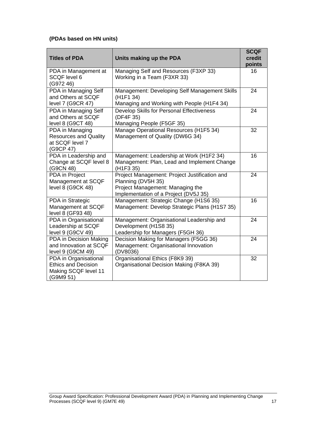#### **(PDAs based on HN units)**

|                                                                                          |                                                                                                                                                  | <b>SCQF</b>      |
|------------------------------------------------------------------------------------------|--------------------------------------------------------------------------------------------------------------------------------------------------|------------------|
| <b>Titles of PDA</b>                                                                     | Units making up the PDA                                                                                                                          | credit<br>points |
| PDA in Management at<br>SCQF level 6<br>(G972 46)                                        | Managing Self and Resources (F3XP 33)<br>Working in a Team (F3XR 33)                                                                             | 16               |
| PDA in Managing Self<br>and Others at SCQF<br>level 7 (G9CR 47)                          | Management: Developing Self Management Skills<br>(H <sub>1F1</sub> 34)<br>Managing and Working with People (H1F4 34)                             | 24               |
| PDA in Managing Self<br>and Others at SCQF<br>level 8 (G9CT 48)                          | Develop Skills for Personal Effectiveness<br>(DF4F 35)<br>Managing People (F5GF 35)                                                              | 24               |
| PDA in Managing<br><b>Resources and Quality</b><br>at SCQF level 7<br>(G9CP 47)          | Manage Operational Resources (H1F5 34)<br>Management of Quality (DW6G 34)                                                                        | 32               |
| PDA in Leadership and<br>Change at SCQF level 8<br>(G9CN 48)                             | Management: Leadership at Work (H1F2 34)<br>Management: Plan, Lead and Implement Change<br>(H1F3 35)                                             | 16               |
| PDA in Project<br>Management at SCQF<br>level 8 (G9CK 48)                                | Project Management: Project Justification and<br>Planning (DV5H 35)<br>Project Management: Managing the<br>Implementation of a Project (DV5J 35) | 24               |
| PDA in Strategic<br>Management at SCQF<br>level 8 (GF93 48)                              | Management: Strategic Change (H1S6 35)<br>Management: Develop Strategic Plans (H1S7 35)                                                          | 16               |
| PDA in Organisational<br>Leadership at SCQF<br>level 9 (G9CV 49)                         | Management: Organisational Leadership and<br>Development (H1S8 35)<br>Leadership for Managers (F5GH 36)                                          | 24               |
| PDA in Decision Making<br>and Innovation at SCQF<br>level 9 (G9CM 49)                    | Decision Making for Managers (F5GG 36)<br>Management: Organisational Innovation<br>(DV8036)                                                      | 24               |
| PDA in Organisational<br><b>Ethics and Decision</b><br>Making SCQF level 11<br>(G9M9 51) | Organisational Ethics (F8K9 39)<br>Organisational Decision Making (F8KA 39)                                                                      | 32               |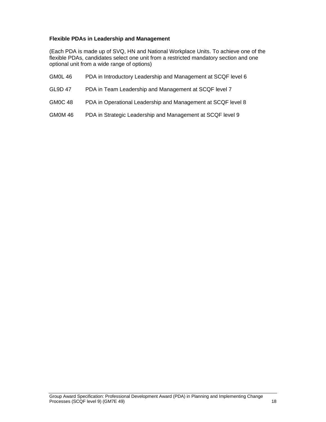#### **Flexible PDAs in Leadership and Management**

(Each PDA is made up of SVQ, HN and National Workplace Units. To achieve one of the flexible PDAs, candidates select one unit from a restricted mandatory section and one optional unit from a wide range of options)

- GM0L 46 PDA in Introductory Leadership and Management at SCQF level 6
- GL9D 47 PDA in Team Leadership and Management at SCQF level 7
- GM0C 48 PDA in Operational Leadership and Management at SCQF level 8
- GM0M 46 PDA in Strategic Leadership and Management at SCQF level 9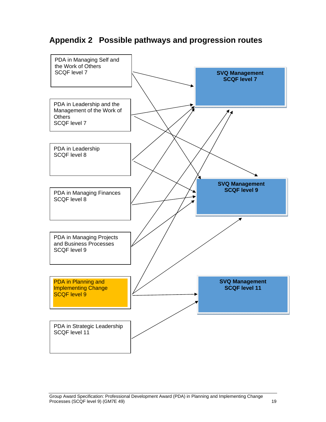# **Appendix 2 Possible pathways and progression routes**

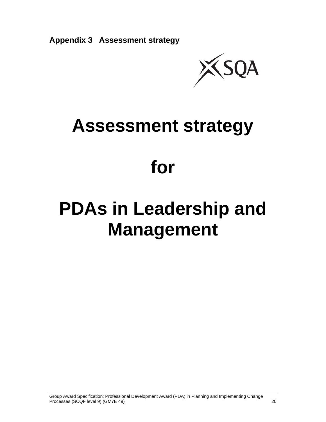

# **Assessment strategy**

# **for**

# **PDAs in Leadership and Management**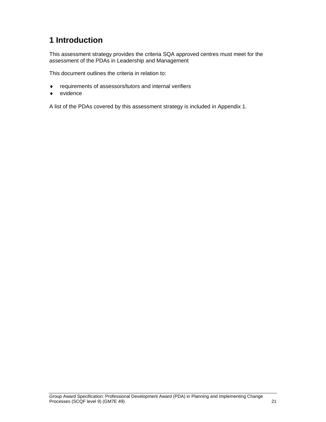# **1 Introduction**

This assessment strategy provides the criteria SQA approved centres must meet for the assessment of the PDAs in Leadership and Management

This document outlines the criteria in relation to:

- requirements of assessors/tutors and internal verifiers
- evidence

A list of the PDAs covered by this assessment strategy is included in Appendix 1.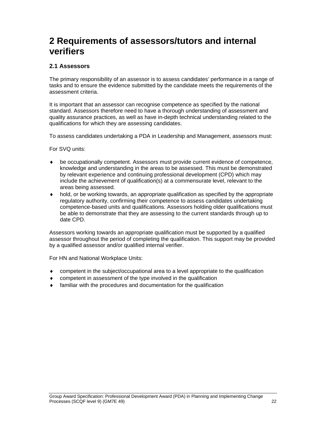# **2 Requirements of assessors/tutors and internal verifiers**

#### **2.1 Assessors**

The primary responsibility of an assessor is to assess candidates' performance in a range of tasks and to ensure the evidence submitted by the candidate meets the requirements of the assessment criteria.

It is important that an assessor can recognise competence as specified by the national standard. Assessors therefore need to have a thorough understanding of assessment and quality assurance practices, as well as have in-depth technical understanding related to the qualifications for which they are assessing candidates.

To assess candidates undertaking a PDA in Leadership and Management, assessors must:

For SVQ units:

- be occupationally competent. Assessors must provide current evidence of competence, knowledge and understanding in the areas to be assessed. This must be demonstrated by relevant experience and continuing professional development (CPD) which may include the achievement of qualification(s) at a commensurate level, relevant to the areas being assessed.
- hold, or be working towards, an appropriate qualification as specified by the appropriate regulatory authority, confirming their competence to assess candidates undertaking competence-based units and qualifications. Assessors holding older qualifications must be able to demonstrate that they are assessing to the current standards through up to date CPD.

Assessors working towards an appropriate qualification must be supported by a qualified assessor throughout the period of completing the qualification. This support may be provided by a qualified assessor and/or qualified internal verifier.

For HN and National Workplace Units:

- competent in the subject/occupational area to a level appropriate to the qualification
- competent in assessment of the type involved in the qualification
- familiar with the procedures and documentation for the qualification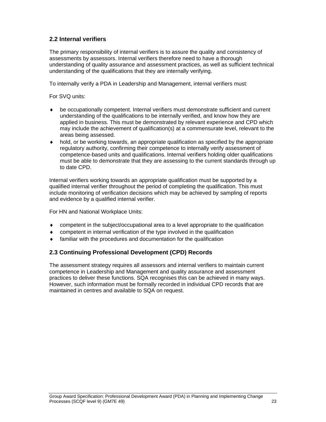#### **2.2 Internal verifiers**

The primary responsibility of internal verifiers is to assure the quality and consistency of assessments by assessors. Internal verifiers therefore need to have a thorough understanding of quality assurance and assessment practices, as well as sufficient technical understanding of the qualifications that they are internally verifying.

To internally verify a PDA in Leadership and Management, internal verifiers must:

For SVQ units:

- be occupationally competent. Internal verifiers must demonstrate sufficient and current understanding of the qualifications to be internally verified, and know how they are applied in business. This must be demonstrated by relevant experience and CPD which may include the achievement of qualification(s) at a commensurate level, relevant to the areas being assessed.
- $\bullet$  hold, or be working towards, an appropriate qualification as specified by the appropriate regulatory authority, confirming their competence to internally verify assessment of competence-based units and qualifications. Internal verifiers holding older qualifications must be able to demonstrate that they are assessing to the current standards through up to date CPD.

Internal verifiers working towards an appropriate qualification must be supported by a qualified internal verifier throughout the period of completing the qualification. This must include monitoring of verification decisions which may be achieved by sampling of reports and evidence by a qualified internal verifier.

For HN and National Workplace Units:

- competent in the subject/occupational area to a level appropriate to the qualification
- competent in internal verification of the type involved in the qualification
- familiar with the procedures and documentation for the qualification

#### **2.3 Continuing Professional Development (CPD) Records**

The assessment strategy requires all assessors and internal verifiers to maintain current competence in Leadership and Management and quality assurance and assessment practices to deliver these functions. SQA recognises this can be achieved in many ways. However, such information must be formally recorded in individual CPD records that are maintained in centres and available to SQA on request.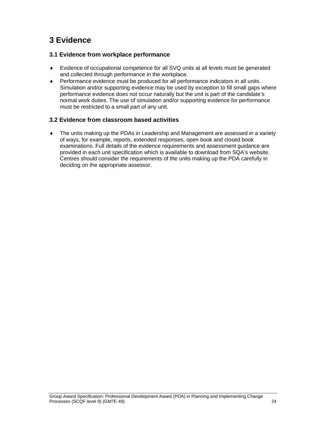# **3 Evidence**

#### **3.1 Evidence from workplace performance**

- Evidence of occupational competence for all SVQ units at all levels must be generated and collected through performance in the workplace.
- Performance evidence must be produced for all performance indicators in all units. Simulation and/or supporting evidence may be used by exception to fill small gaps where performance evidence does not occur naturally but the unit is part of the candidate's normal work duties. The use of simulation and/or supporting evidence for performance must be restricted to a small part of any unit.

#### **3.2 Evidence from classroom based activities**

 The units making up the PDAs in Leadership and Management are assessed in a variety of ways, for example, reports, extended responses, open book and closed book examinations. Full details of the evidence requirements and assessment guidance are provided in each unit specification which is available to download from SQA's website. Centres should consider the requirements of the units making up the PDA carefully in deciding on the appropriate assessor.